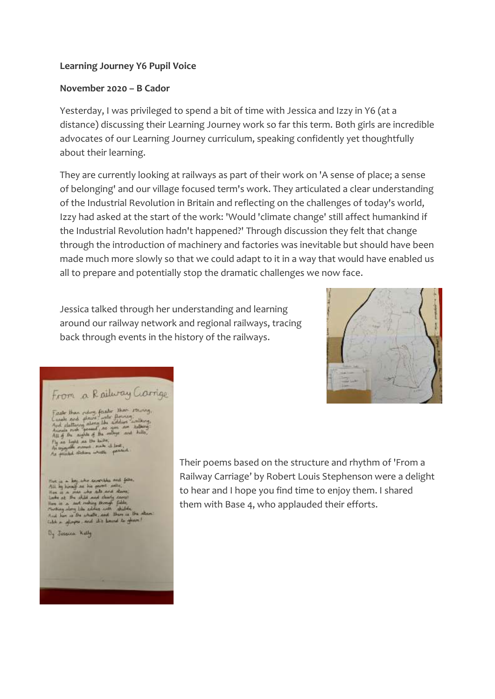## **Learning Journey Y6 Pupil Voice**

## **November 2020 – B Cador**

Yesterday, I was privileged to spend a bit of time with Jessica and Izzy in Y6 (at a distance) discussing their Learning Journey work so far this term. Both girls are incredible advocates of our Learning Journey curriculum, speaking confidently yet thoughtfully about their learning.

They are currently looking at railways as part of their work on 'A sense of place; a sense of belonging' and our village focused term's work. They articulated a clear understanding of the Industrial Revolution in Britain and reflecting on the challenges of today's world, Izzy had asked at the start of the work: 'Would 'climate change' still affect humankind if the Industrial Revolution hadn't happened?' Through discussion they felt that change through the introduction of machinery and factories was inevitable but should have been made much more slowly so that we could adapt to it in a way that would have enabled us all to prepare and potentially stop the dramatic challenges we now face.

Jessica talked through her understanding and learning around our railway network and regional railways, tracing back through events in the history of the railways.



## From a Railway Carrige

Faste then riding faster than thereony,<br>Canals and places water flowing,<br>And cluttering atomg like sudden insthury,<br>And cluttering atomg like sudden insthury,<br>All of the subject of the rolling and hills,<br>Fly as Light as th

Hert is a key who second<br>has and falls .<br>All hy hunder as his partit salls.<br>Her is a mas who will and alone.<br>Line is a mas who will move that .<br>Line is a mass which is able to philo.<br>And her is the whills, and there is th

Dy Jasques Kelly

Their poems based on the structure and rhythm of 'From a Railway Carriage' by Robert Louis Stephenson were a delight to hear and I hope you find time to enjoy them. I shared them with Base 4, who applauded their efforts.